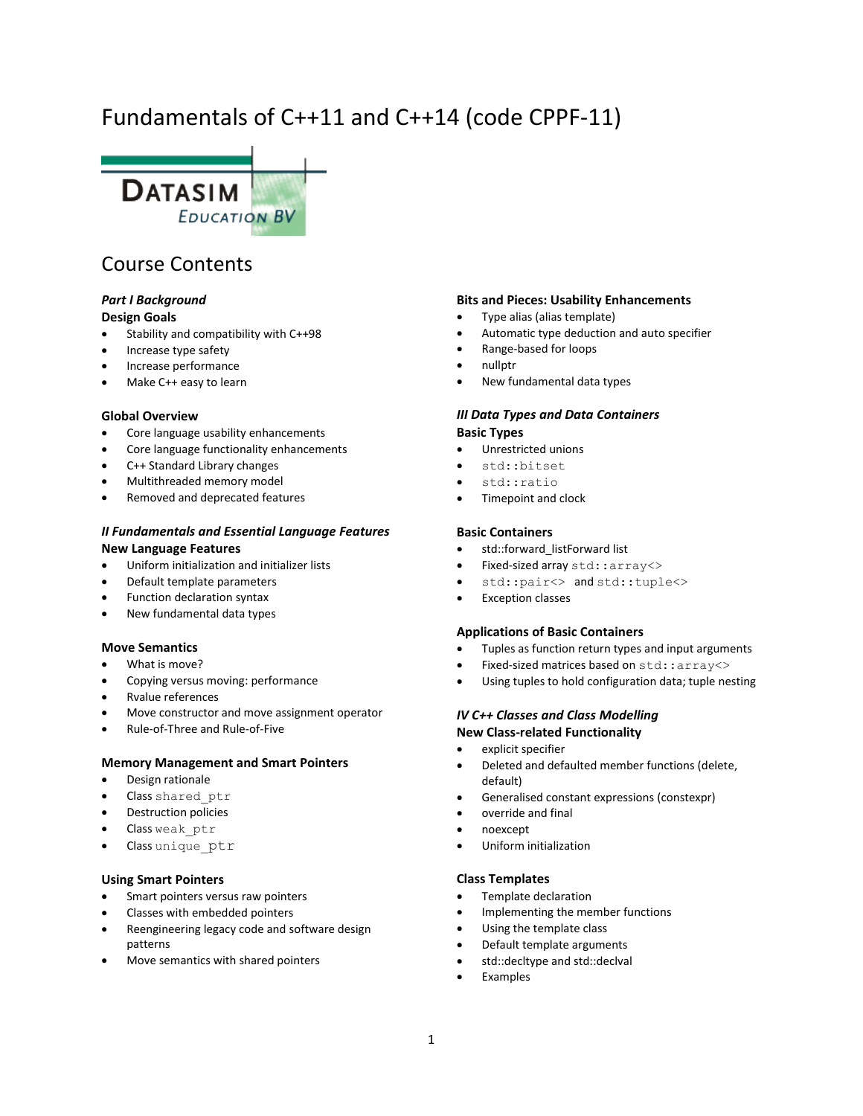# Fundamentals of C++11 and C++14 (code CPPF-11)



# Course Contents

#### *Part I Background* **Design Goals**

- Stability and compatibility with C++98
- Increase type safety
- Increase performance
- Make C++ easy to learn

#### **Global Overview**

- Core language usability enhancements
- Core language functionality enhancements
- C++ Standard Library changes
- Multithreaded memory model
- Removed and deprecated features

# *II Fundamentals and Essential Language Features* **New Language Features**

- Uniform initialization and initializer lists
- Default template parameters
- Function declaration syntax
- New fundamental data types

# **Move Semantics**

- What is move?
- Copying versus moving: performance
- Rvalue references
- Move constructor and move assignment operator
- Rule-of-Three and Rule-of-Five

#### **Memory Management and Smart Pointers**

- Design rationale
- Class shared\_ptr
- Destruction policies
- Class weak ptr
- Class unique ptr

#### **Using Smart Pointers**

- Smart pointers versus raw pointers
- Classes with embedded pointers
- Reengineering legacy code and software design patterns
- Move semantics with shared pointers

#### **Bits and Pieces: Usability Enhancements**

- Type alias (alias template)
- Automatic type deduction and auto specifier
- Range-based for loops
- nullptr
- New fundamental data types

# *III Data Types and Data Containers*

#### **Basic Types**

- Unrestricted unions
- std::bitset
- std::ratio
- Timepoint and clock

#### **Basic Containers**

- std::forward listForward list
- Fixed-sized array std::array<>
- std::pair<> and std::tuple<>
- Exception classes

#### **Applications of Basic Containers**

- Tuples as function return types and input arguments
- Fixed-sized matrices based on std::array<>
- Using tuples to hold configuration data; tuple nesting

# *IV C++ Classes and Class Modelling* **New Class-related Functionality**

- explicit specifier
- Deleted and defaulted member functions (delete, default)
- Generalised constant expressions (constexpr)
- override and final
- noexcept
- Uniform initialization

# **Class Templates**

- Template declaration
- Implementing the member functions
- Using the template class
- Default template arguments
- std::decltype and std::declval
- Examples